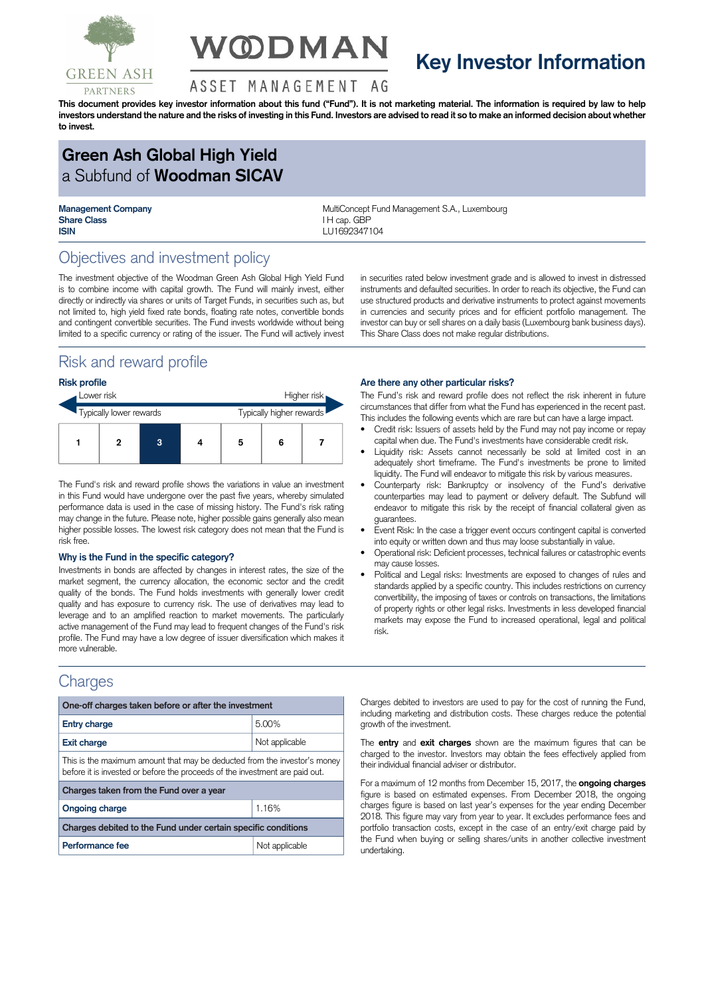

# **V@DMAN**

## **Key Investor Information**

#### ASSET MANAGEMENT AG

This document provides key investor information about this fund ("Fund"). It is not marketing material. The information is required by law to help investors understand the nature and the risks of investing in this Fund. Investors are advised to read it so to make an informed decision about whether **to invest.**

## **Green Ash Global High Yield** a Subfund of **Woodman SICAV**

**Share Class I H** cap. GBP **ISIN** LU1692347104

**Management Company MultiConcept Fund Management S.A., Luxembourg** 

## Objectives and investment policy

The investment objective of the Woodman Green Ash Global High Yield Fund is to combine income with capital growth. The Fund will mainly invest, either directly or indirectly via shares or units of Target Funds, in securities such as, but not limited to, high yield fixed rate bonds, floating rate notes, convertible bonds and contingent convertible securities. The Fund invests worldwide without being limited to a specific currency or rating of the issuer. The Fund will actively invest

## Risk and reward profile

#### **Risk profile**

| Lower risk              |  |   | Higher risk              |   |   |  |
|-------------------------|--|---|--------------------------|---|---|--|
| Typically lower rewards |  |   | Typically higher rewards |   |   |  |
|                         |  | 3 |                          | 5 | 6 |  |

The Fund's risk and reward profile shows the variations in value an investment in this Fund would have undergone over the past five years, whereby simulated performance data is used in the case of missing history. The Fund's risk rating may change in the future. Please note, higher possible gains generally also mean higher possible losses. The lowest risk category does not mean that the Fund is risk free.

#### **Why is the Fund in the specific category?**

Investments in bonds are affected by changes in interest rates, the size of the market segment, the currency allocation, the economic sector and the credit quality of the bonds. The Fund holds investments with generally lower credit quality and has exposure to currency risk. The use of derivatives may lead to leverage and to an amplified reaction to market movements. The particularly active management of the Fund may lead to frequent changes of the Fund's risk profile. The Fund may have a low degree of issuer diversification which makes it more vulnerable.

### **Charges**

| One-off charges taken before or after the investment                                                                                                      |                |  |  |  |  |
|-----------------------------------------------------------------------------------------------------------------------------------------------------------|----------------|--|--|--|--|
| <b>Entry charge</b>                                                                                                                                       | 5.00%          |  |  |  |  |
| <b>Exit charge</b>                                                                                                                                        | Not applicable |  |  |  |  |
| This is the maximum amount that may be deducted from the investor's money<br>before it is invested or before the proceeds of the investment are paid out. |                |  |  |  |  |
| Charges taken from the Fund over a year                                                                                                                   |                |  |  |  |  |
| <b>Ongoing charge</b>                                                                                                                                     | 1.16%          |  |  |  |  |
| Charges debited to the Fund under certain specific conditions                                                                                             |                |  |  |  |  |
| Performance fee                                                                                                                                           | Not applicable |  |  |  |  |

in securities rated below investment grade and is allowed to invest in distressed instruments and defaulted securities. In order to reach its objective, the Fund can use structured products and derivative instruments to protect against movements in currencies and security prices and for efficient portfolio management. The investor can buy or sell shares on a daily basis (Luxembourg bank business days). This Share Class does not make regular distributions.

#### **Are there any other particular risks?**

The Fund's risk and reward profile does not reflect the risk inherent in future circumstances that differ from what the Fund has experienced in the recent past. This includes the following events which are rare but can have a large impact.

- Credit risk: Issuers of assets held by the Fund may not pay income or repay capital when due. The Fund's investments have considerable credit risk.
- Liquidity risk: Assets cannot necessarily be sold at limited cost in an adequately short timeframe. The Fund's investments be prone to limited liquidity. The Fund will endeavor to mitigate this risk by various measures.
- Counterparty risk: Bankruptcy or insolvency of the Fund's derivative counterparties may lead to payment or delivery default. The Subfund will endeavor to mitigate this risk by the receipt of financial collateral given as guarantees.
- Event Risk: In the case a trigger event occurs contingent capital is converted into equity or written down and thus may loose substantially in value.
- Operational risk: Deficient processes, technical failures or catastrophic events may cause losses.
- Political and Legal risks: Investments are exposed to changes of rules and standards applied by a specific country. This includes restrictions on currency convertibility, the imposing of taxes or controls on transactions, the limitations of property rights or other legal risks. Investments in less developed financial markets may expose the Fund to increased operational, legal and political risk.

Charges debited to investors are used to pay for the cost of running the Fund, including marketing and distribution costs. These charges reduce the potential growth of the investment.

The **entry** and **exit charges** shown are the maximum figures that can be charged to the investor. Investors may obtain the fees effectively applied from their individual financial adviser or distributor.

For a maximum of 12 months from December 15, 2017, the **ongoing charges** figure is based on estimated expenses. From December 2018, the ongoing charges figure is based on last year's expenses for the year ending December 2018. This figure may vary from year to year. It excludes performance fees and portfolio transaction costs, except in the case of an entry/exit charge paid by the Fund when buying or selling shares/units in another collective investment undertaking.